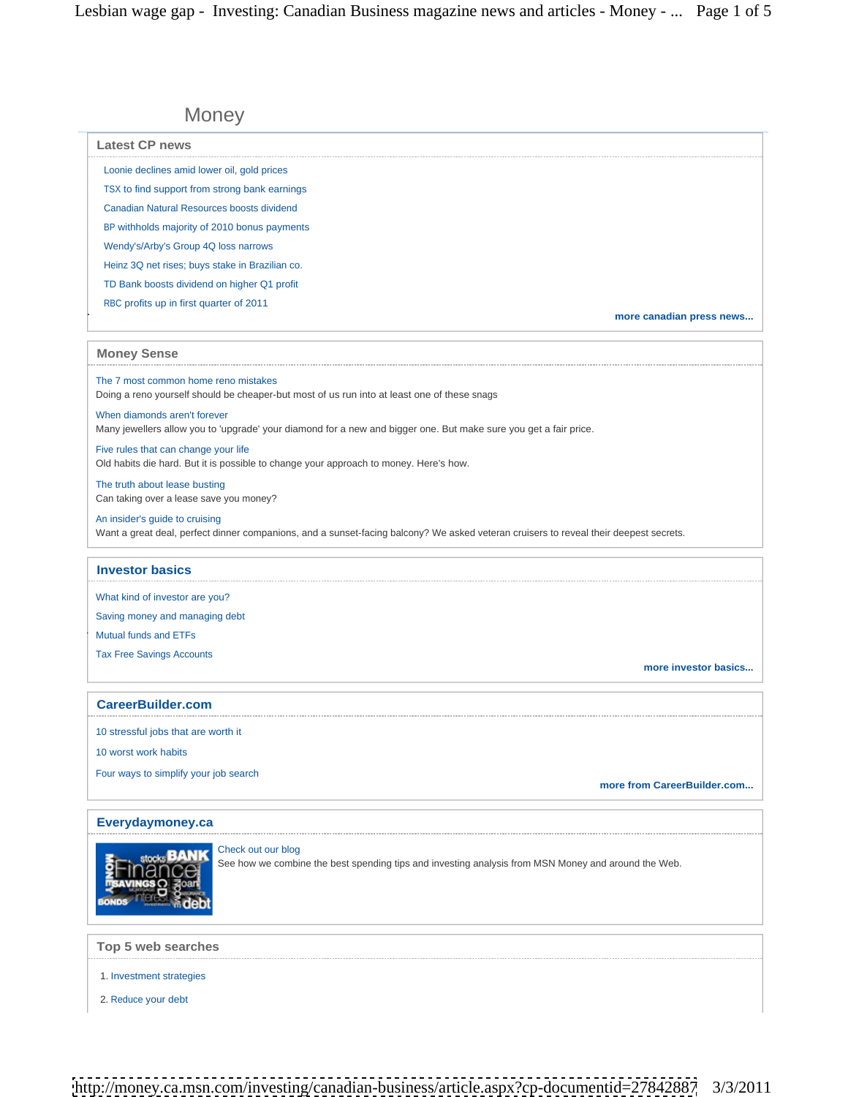# Money **Money** and the second state of the second state  $\mathbb{R}$  and  $\mathbb{R}$  and  $\mathbb{R}$  and  $\mathbb{R}$  and  $\mathbb{R}$  and  $\mathbb{R}$  and  $\mathbb{R}$  and  $\mathbb{R}$  and  $\mathbb{R}$  and  $\mathbb{R}$  and  $\mathbb{R}$  and  $\mathbb{R}$  and  $\mathbb{R}$  an

| <b>Latest CP news</b>                                                                                                                                                   |                      |
|-------------------------------------------------------------------------------------------------------------------------------------------------------------------------|----------------------|
| Loonie declines amid lower oil, gold prices                                                                                                                             |                      |
| TSX to find support from strong bank earnings                                                                                                                           |                      |
| <b>Canadian Natural Resources boosts dividend</b>                                                                                                                       |                      |
| BP withholds majority of 2010 bonus payments                                                                                                                            |                      |
| Wendy's/Arby's Group 4Q loss narrows                                                                                                                                    |                      |
| Heinz 3Q net rises; buys stake in Brazilian co.                                                                                                                         |                      |
| TD Bank boosts dividend on higher Q1 profit                                                                                                                             |                      |
| RBC profits up in first quarter of 2011                                                                                                                                 |                      |
| more canadian press news                                                                                                                                                |                      |
| <b>Money Sense</b>                                                                                                                                                      |                      |
| The 7 most common home reno mistakes<br>Doing a reno yourself should be cheaper-but most of us run into at least one of these snags                                     |                      |
| When diamonds aren't forever<br>Many jewellers allow you to 'upgrade' your diamond for a new and bigger one. But make sure you get a fair price.                        |                      |
| Five rules that can change your life<br>Old habits die hard. But it is possible to change your approach to money. Here's how.                                           |                      |
| The truth about lease busting<br>Can taking over a lease save you money?                                                                                                |                      |
| An insider's guide to cruising<br>Want a great deal, perfect dinner companions, and a sunset-facing balcony? We asked veteran cruisers to reveal their deepest secrets. |                      |
| <b>Investor basics</b>                                                                                                                                                  |                      |
| What kind of investor are you?                                                                                                                                          |                      |
| Saving money and managing debt                                                                                                                                          |                      |
| Mutual funds and ETFs                                                                                                                                                   |                      |
| Tax Free Savings Accounts                                                                                                                                               | more investor basics |
| <b>CareerBuilder.com</b>                                                                                                                                                |                      |
| 10 stressful jobs that are worth it                                                                                                                                     |                      |
| 10 worst work habits                                                                                                                                                    |                      |
| Four ways to simplify your job search<br>more from CareerBuilder.com                                                                                                    |                      |
| Everydaymoney.ca                                                                                                                                                        |                      |
| Check out our blog<br><b>SEL Stocks BANK</b><br><b>SEINANCE</b><br>See how we combine the best spending tips and investing analysis from MSN Money and around the Web.  |                      |
| Top 5 web searches                                                                                                                                                      |                      |
|                                                                                                                                                                         |                      |
| 1. Investment strategies                                                                                                                                                |                      |
| 2. Reduce your debt                                                                                                                                                     |                      |

<http://money.ca.msn.com/investing/canadian-business/article.aspx?cp-documentid=27842887> 3/3/2011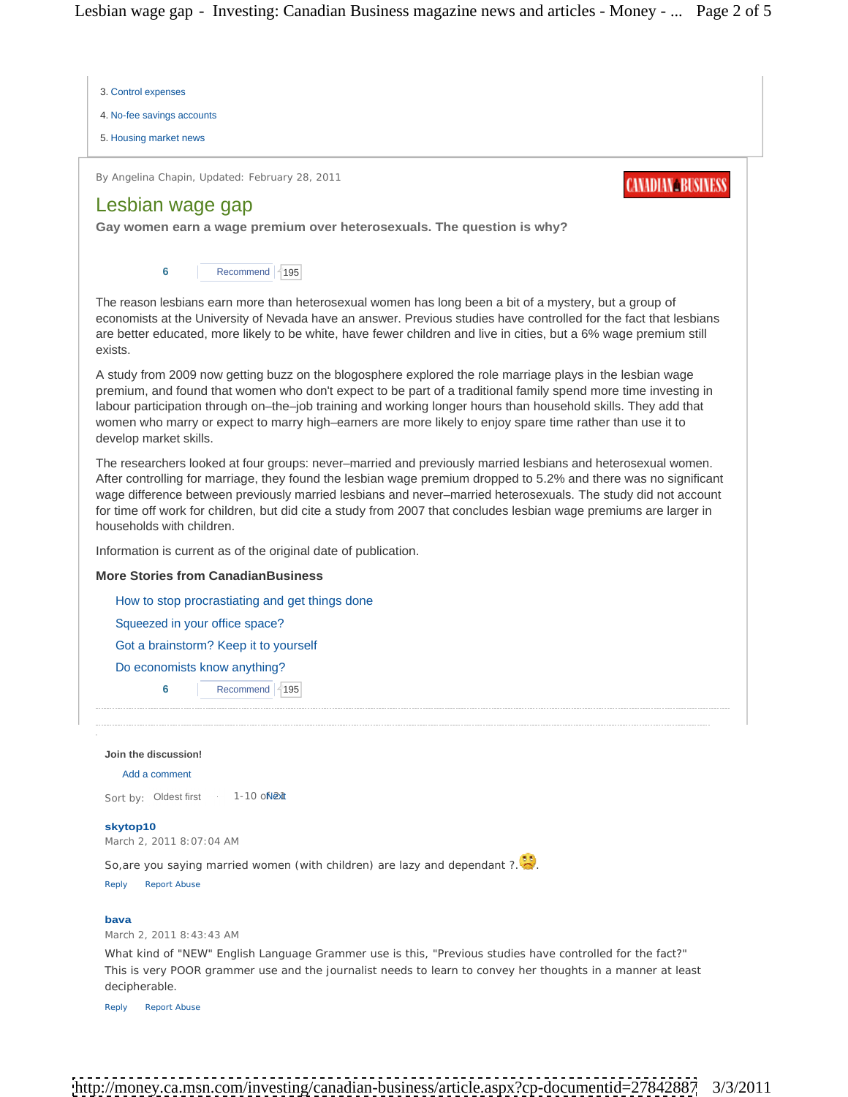Lesbian wage gap - Investing: Canadian Business magazine news and articles - Money - ... Page 2 of 5



5. Housing market news Housing market news

By Angelina Chapin, Updated: February 28, 2011 **Example 20 and 20 and 20 and 20 and 20 and 20 and 20 and 20 and 20 and 20 and 20 and 20 and 20 and 20 and 20 and 20 and 20 and 20 and 20 and 20 and 20 and 20 and 20 and 20 an** 

# Lesbian wage gap

**Gay women earn a wage premium over heterosexuals. The question is why?**

**6** Recommend  $\left\lfloor \frac{4}{95} \right\rfloor$ Recommend 195 and 195 and 196 and 196 and 196 and 197 and 198 and 198 and 198 and 198 and 198 and 198 and 198 and 198 and 198 and 198 and 198 and 198 and 198 and 198 and 198 and 198 and 198 and 198 and 198 and 198 and 198

The reason lesbians earn more than heterosexual women has long been a bit of a mystery, but a group of economists at the University of Nevada have an answer. Previous studies have controlled for the fact that lesbians are better educated, more likely to be white, have fewer children and live in cities, but a 6% wage premium still exists. The contract of the contract of the contract of the contract of the contract of the contract of the contract of the contract of the contract of the contract of the contract of the contract of the contract of the co

A study from 2009 now getting buzz on the blogosphere explored the role marriage plays in the lesbian wage premium, and found that women who don't expect to be part of a traditional family spend more time investing in labour participation through on–the–job training and working longer hours than household skills. They add that women who marry or expect to marry high–earners are more likely to enjoy spare time rather than use it to develop market skills.

The researchers looked at four groups: never–married and previously married lesbians and heterosexual women. After controlling for marriage, they found the lesbian wage premium dropped to 5.2% and there was no significant wage difference between previously married lesbians and never–married heterosexuals. The study did not account for time off work for children, but did cite a study from 2007 that concludes lesbian wage premiums are larger in households with children.

Information is current as of the original date of publication.

## **More Stories from CanadianBusiness**

How to stop procrastiating and get things done

Squeezed in your office space?

Got a brainstorm? Keep it to yourself

Do economists know anything?

**6** Recommend  $\left\vert \mathrm{495}\right\vert$ Recommend | 195 | International Section of the Contract of the Contract of the Contract of the Contract of the Contract of the Contract of the Contract of the Contract of the Contract of the Contract of the Contract of the

**Join the discussion!**

Add a comment

Sort by: Oldest first 1-10 o**Next** 1 and 200 Next 1 Assembly 1. Next 200 Next 200 Next 200 Next 200 Next 200 Next 200 Next 200 Next 200 Next 200 Next 200 Next 200 Next 200 Next 200 Next 200 Next 200 Next 200 Next 200 Next

## **skytop10**

March 2, 2011 8:07:04 AM

So, are you saying married women (with children) are lazy and dependant ?.

Reply Report Abuse

## **bava**

March 2, 2011 8:43:43 AM

What kind of "NEW" English Language Grammer use is this, "Previous studies have controlled for the fact?" This is very POOR grammer use and the journalist needs to learn to convey her thoughts in a manner at least decipherable.

Reply Report Abuse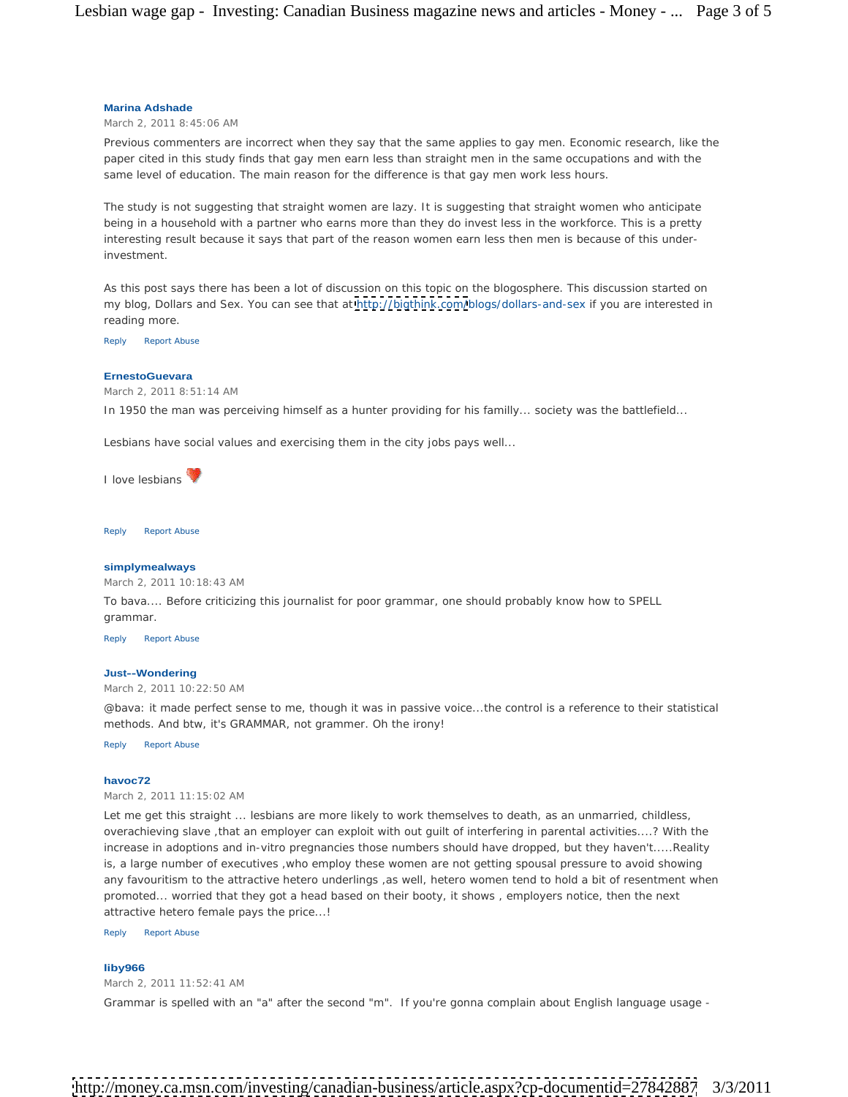### **Marina Adshade**

March 2, 2011 8:45:06 AM

Previous commenters are incorrect when they say that the same applies to gay men. Economic research, like the paper cited in this study finds that gay men earn less than straight men in the same occupations and with the same level of education. The main reason for the difference is that gay men work less hours.

The study is not suggesting that straight women are lazy. It is suggesting that straight women who anticipate being in a household with a partner who earns more than they do invest less in the workforce. This is a pretty interesting result because it says that part of the reason women earn less then men is because of this underinvestment.

As this post says there has been a lot of discussion on this topic on the blogosphere. This discussion started on my blog, Dollars and Sex. You can see that at<http://bigthink.com/>blogs/dollars-and-sex if you are interested in reading more.

Reply Report Abuse

#### **ErnestoGuevara**

March 2, 2011 8:51:14 AM

In 1950 the man was perceiving himself as a hunter providing for his familly... society was the battlefield...

Lesbians have social values and exercising them in the city jobs pays well...

I love lesbians with a state of the state of the state of the state of the state of the state of the state of the state of the state of the state of the state of the state of the state of the state of the state of the stat

Reply Report Abuse

#### **simplymealways**

March 2, 2011 10:18:43 AM

To bava.... Before criticizing this journalist for poor grammar, one should probably know how to SPELL grammar. In the contract of the contract of the contract of the contract of the contract of the contract of the contract of the contract of the contract of the contract of the contract of the contract of the contract of th

Reply Report Abuse

## **Just--Wondering**

March 2, 2011 10:22:50 AM

@bava: it made perfect sense to me, though it was in passive voice...the control is a reference to their statistical methods. And btw, it's GRAMMAR, not grammer. Oh the irony!

Reply Report Abuse

#### **havoc72**

March 2, 2011 11:15:02 AM

Let me get this straight ... lesbians are more likely to work themselves to death, as an unmarried, childless, overachieving slave ,that an employer can exploit with out guilt of interfering in parental activities....? With the increase in adoptions and in-vitro pregnancies those numbers should have dropped, but they haven't.....Reality is, a large number of executives ,who employ these women are not getting spousal pressure to avoid showing any favouritism to the attractive hetero underlings ,as well, hetero women tend to hold a bit of resentment when promoted... worried that they got a head based on their booty, it shows , employers notice, then the next attractive hetero female pays the price...!

Reply Report Abuse

#### **liby966**

March 2, 2011 11:52:41 AM

Grammar is spelled with an "a" after the second "m". If you're gonna complain about English language usage -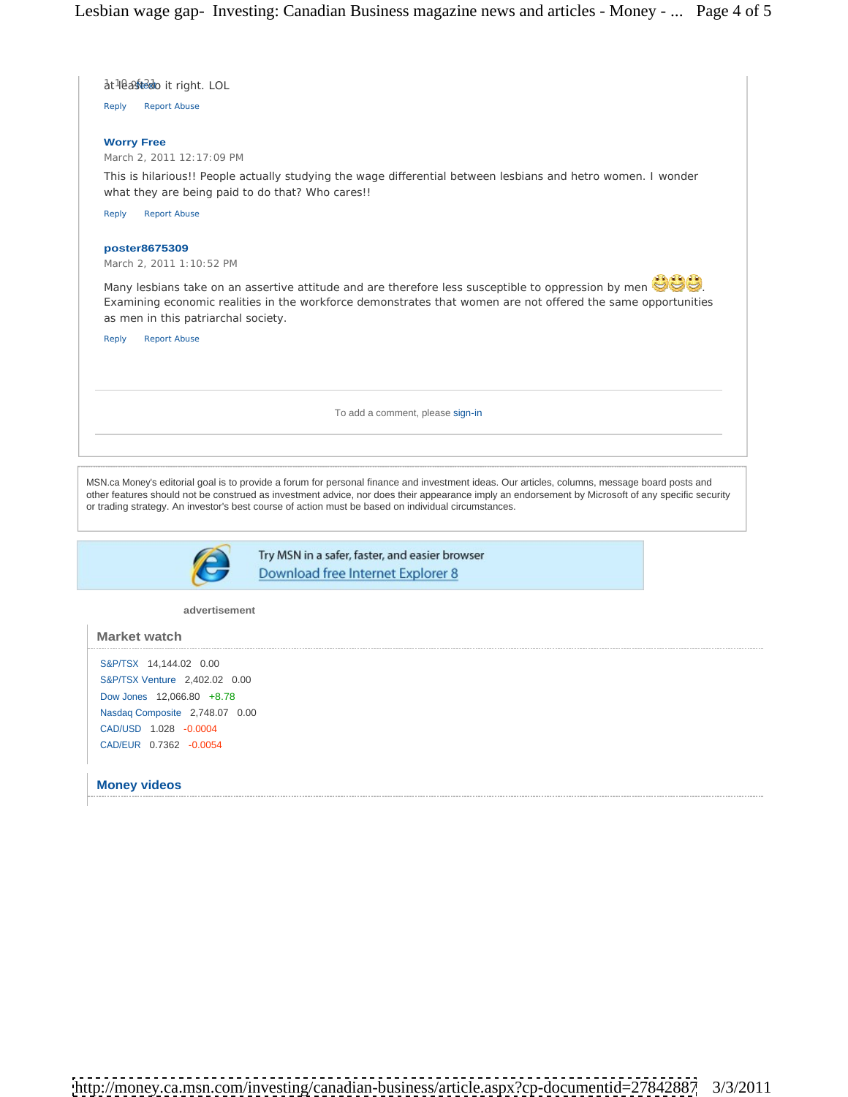

Nasdaq Composite 2,748.07 0.00 CAD/USD 1.028 -0.0004 CAD/EUR 0.7362 -0.0054

**Money videos**